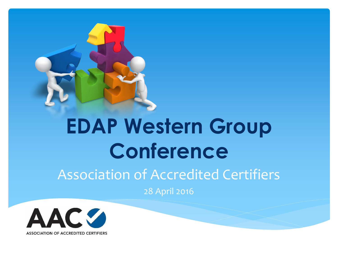

## **EDAP Western Group Conference**

#### Association of Accredited Certifiers

28 April 2016

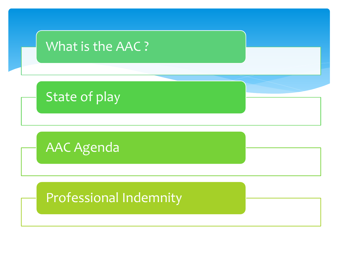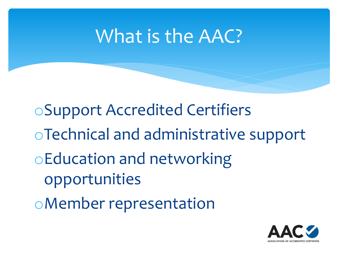#### What is the AAC?

oSupport Accredited Certifiers oTechnical and administrative support oEducation and networking opportunities oMember representation

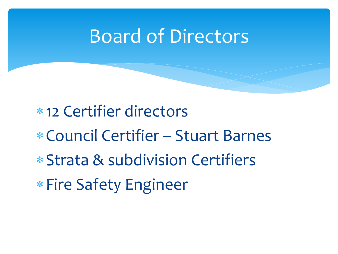#### Board of Directors

12 Certifier directors

- Council Certifier Stuart Barnes
- Strata & subdivision Certifiers
- \* Fire Safety Engineer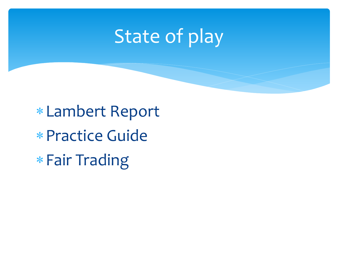#### State of play

Lambert Report Practice Guide Fair Trading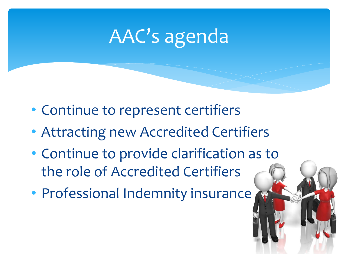#### AAC's agenda

- Continue to represent certifiers
- Attracting new Accredited Certifiers
- Continue to provide clarification as to the role of Accredited Certifiers
- Professional Indemnity insurance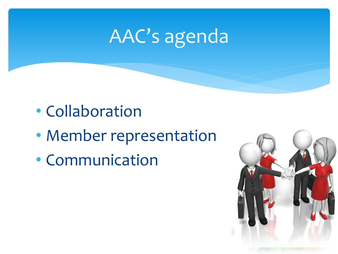### AAC's agenda

- Collaboration
- Member representation
- Communication

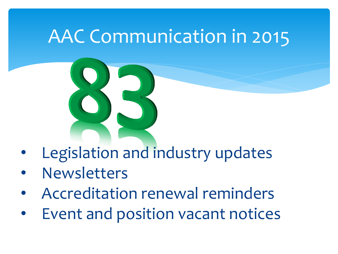#### AAC Communication in 2015

- Legislation and industry updates
- **Newsletters**
- Accreditation renewal reminders
- Event and position vacant notices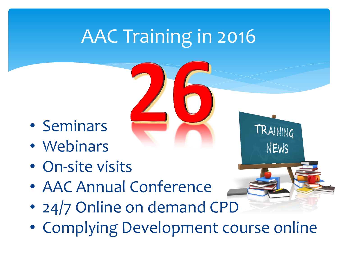#### AAC Training in 2016

- Seminars
- Webinars
- On-site visits
- AAC Annual Conference
- 24/7 Online on demand CPD
- Complying Development course online

TRAINING

NEWS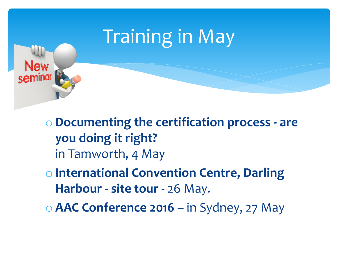

o **Documenting the certification process - are you doing it right?**  in Tamworth, 4 May

o **International Convention Centre, Darling Harbour - site tour** - 26 May.

o **AAC Conference 2016** – in Sydney, 27 May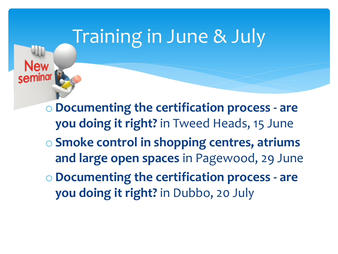#### Training in June & July

o **Documenting the certification process - are you doing it right?** in Tweed Heads, 15 June

o **Smoke control in shopping centres, atriums and large open spaces** in Pagewood, 29 June

o **Documenting the certification process - are you doing it right?** in Dubbo, 20 July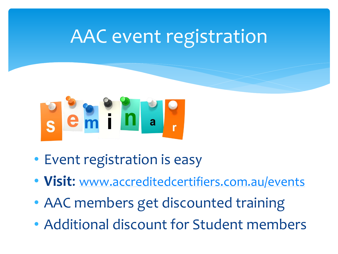#### AAC event registration



- Event registration is easy
- **Visit**: [www.accreditedcertifiers.com.au/events](http://www.accreditedcertifiers.com.au/events)
- AAC members get discounted training
- Additional discount for Student members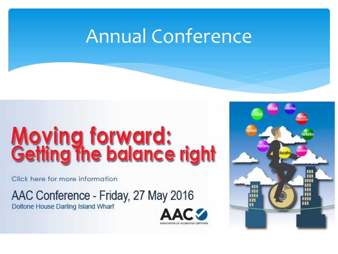#### Annual Conference

ASSOCIATION OF ACCREDITED CERTIFIER

# **Moving forward:<br>Getting the balance right**

Click here for more information

AAC Conference - Friday, 27 May 2016

Doltone House Darling Island Wharf

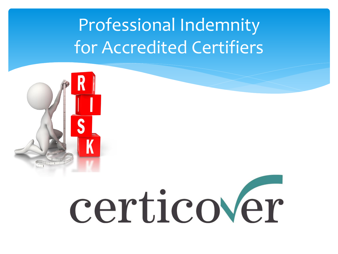#### Professional Indemnity for Accredited Certifiers



# certicover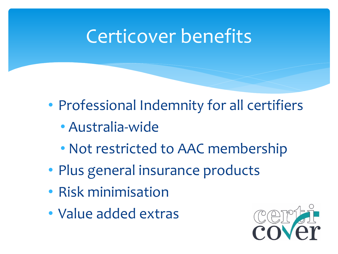#### Certicover benefits

- Professional Indemnity for all certifiers
	- Australia-wide
	- Not restricted to AAC membership
- Plus general insurance products
- Risk minimisation
- Value added extras